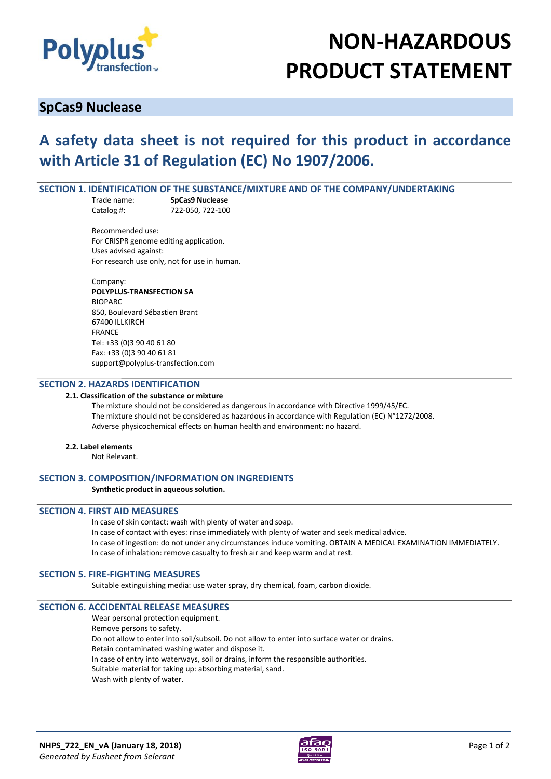

# **NON-HAZARDOUS PRODUCT STATEMENT**

### **SpCas9 Nuclease**

## **A safety data sheet is not required for this product in accordance with Article 31 of Regulation (EC) No 1907/2006.**

#### **SECTION 1. IDENTIFICATION OF THE SUBSTANCE/MIXTURE AND OF THE COMPANY/UNDERTAKING**

Trade name: **SpCas9 Nuclease** Catalog #: 722-050, 722-100

Recommended use: For CRISPR genome editing application*.* Uses advised against: For research use only, not for use in human.

Company: **POLYPLUS-TRANSFECTION SA**  BIOPARC 850, Boulevard Sébastien Brant 67400 ILLKIRCH **FRANCE** Tel: +33 (0)3 90 40 61 80 Fax: +33 (0)3 90 40 61 81 support@polyplus-transfection.com

#### **SECTION 2. HAZARDS IDENTIFICATION**

#### **2.1. Classification of the substance or mixture**

The mixture should not be considered as dangerous in accordance with Directive 1999/45/EC. The mixture should not be considered as hazardous in accordance with Regulation (EC) N°1272/2008. Adverse physicochemical effects on human health and environment: no hazard.

#### **2.2. Label elements**

Not Relevant.

#### **SECTION 3. COMPOSITION/INFORMATION ON INGREDIENTS**

#### **Synthetic product in aqueous solution.**

#### **SECTION 4. FIRST AID MEASURES**

In case of skin contact: wash with plenty of water and soap.

In case of contact with eyes: rinse immediately with plenty of water and seek medical advice. In case of ingestion: do not under any circumstances induce vomiting. OBTAIN A MEDICAL EXAMINATION IMMEDIATELY. In case of inhalation: remove casualty to fresh air and keep warm and at rest.

#### **SECTION 5. FIRE-FIGHTING MEASURES**

Suitable extinguishing media: use water spray, dry chemical, foam, carbon dioxide.

#### **SECTION 6. ACCIDENTAL RELEASE MEASURES**

Wear personal protection equipment. Remove persons to safety. Do not allow to enter into soil/subsoil. Do not allow to enter into surface water or drains. Retain contaminated washing water and dispose it. In case of entry into waterways, soil or drains, inform the responsible authorities. Suitable material for taking up: absorbing material, sand. Wash with plenty of water.